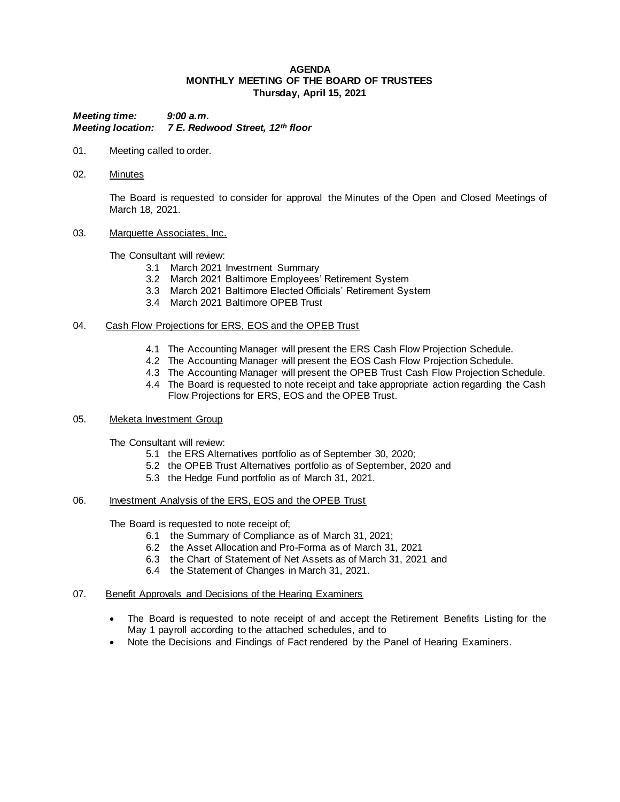### **AGENDA MONTHLY MEETING OF THE BOARD OF TRUSTEES Thursday, April 15, 2021**

*Meeting time: 9:00 a.m. Meeting location: 7 E. Redwood Street, 12th floor*

- 01. Meeting called to order.
- 02. Minutes

The Board is requested to consider for approval the Minutes of the Open and Closed Meetings of March 18, 2021.

03. Marquette Associates, Inc.

The Consultant will review:

- 3.1 March 2021 Investment Summary
- 3.2 March 2021 Baltimore Employees' Retirement System
- 3.3 March 2021 Baltimore Elected Officials' Retirement System
- 3.4 March 2021 Baltimore OPEB Trust

### 04. Cash Flow Projections for ERS, EOS and the OPEB Trust

- 4.1 The Accounting Manager will present the ERS Cash Flow Projection Schedule.
- 4.2 The Accounting Manager will present the EOS Cash Flow Projection Schedule.
- 4.3 The Accounting Manager will present the OPEB Trust Cash Flow Projection Schedule.
- 4.4 The Board is requested to note receipt and take appropriate action regarding the Cash Flow Projections for ERS, EOS and the OPEB Trust.

## 05. Meketa Investment Group

The Consultant will review:

- 5.1 the ERS Alternatives portfolio as of September 30, 2020;
- 5.2 the OPEB Trust Alternatives portfolio as of September, 2020 and
- 5.3 the Hedge Fund portfolio as of March 31, 2021.

# 06. Investment Analysis of the ERS, EOS and the OPEB Trust

The Board is requested to note receipt of;

- 6.1 the Summary of Compliance as of March 31, 2021;
- 6.2 the Asset Allocation and Pro-Forma as of March 31, 2021
- 6.3 the Chart of Statement of Net Assets as of March 31, 2021 and
- 6.4 the Statement of Changes in March 31, 2021.
- 07. Benefit Approvals and Decisions of the Hearing Examiners
	- The Board is requested to note receipt of and accept the Retirement Benefits Listing for the May 1 payroll according to the attached schedules, and to
	- Note the Decisions and Findings of Fact rendered by the Panel of Hearing Examiners.